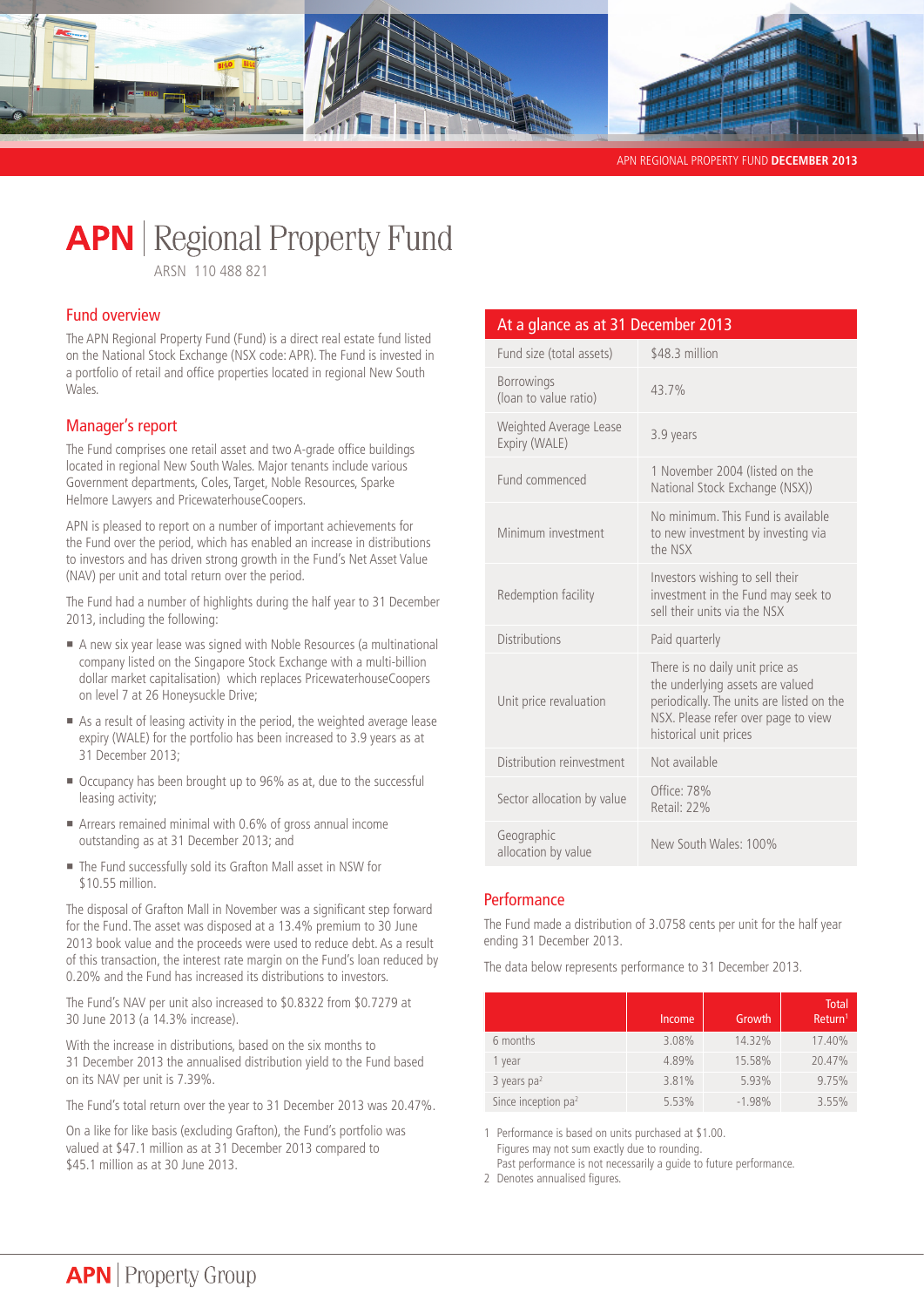

APN REGIONAL PROPERTY FUND **DECEMBER 2013** 

# **APN** | Regional Property Fund

ARSN 110 488 821

# Fund overview

The APN Regional Property Fund (Fund) is a direct real estate fund listed on the National Stock Exchange (NSX code: APR). The Fund is invested in a portfolio of retail and office properties located in regional New South Wales.

# Manager's report

The Fund comprises one retail asset and two A-grade office buildings located in regional New South Wales. Major tenants include various Government departments, Coles, Target, Noble Resources, Sparke Helmore Lawyers and PricewaterhouseCoopers.

APN is pleased to report on a number of important achievements for the Fund over the period, which has enabled an increase in distributions to investors and has driven strong growth in the Fund's Net Asset Value (NAV) per unit and total return over the period.

The Fund had a number of highlights during the half year to 31 December 2013, including the following:

- ¡ A new six year lease was signed with Noble Resources (a multinational company listed on the Singapore Stock Exchange with a multi-billion dollar market capitalisation) which replaces PricewaterhouseCoopers on level 7 at 26 Honeysuckle Drive;
- **Example 2** As a result of leasing activity in the period, the weighted average lease expiry (WALE) for the portfolio has been increased to 3.9 years as at 31 December 2013;
- Occupancy has been brought up to 96% as at, due to the successful leasing activity;
- ¡ Arrears remained minimal with 0.6% of gross annual income outstanding as at 31 December 2013; and
- The Fund successfully sold its Grafton Mall asset in NSW for \$10.55 million.

The disposal of Grafton Mall in November was a significant step forward for the Fund. The asset was disposed at a 13.4% premium to 30 June 2013 book value and the proceeds were used to reduce debt. As a result of this transaction, the interest rate margin on the Fund's loan reduced by 0.20% and the Fund has increased its distributions to investors.

The Fund's NAV per unit also increased to \$0.8322 from \$0.7279 at 30 June 2013 (a 14.3% increase).

With the increase in distributions, based on the six months to 31 December 2013 the annualised distribution yield to the Fund based on its NAV per unit is 7.39%.

The Fund's total return over the year to 31 December 2013 was 20.47%.

On a like for like basis (excluding Grafton), the Fund's portfolio was valued at \$47.1 million as at 31 December 2013 compared to \$45.1 million as at 30 June 2013.

# At a glance as at 31 December 2013

| Fund size (total assets)                | \$48.3 million                                                                                                                                                                    |
|-----------------------------------------|-----------------------------------------------------------------------------------------------------------------------------------------------------------------------------------|
| Borrowings<br>(loan to value ratio)     | 43.7%                                                                                                                                                                             |
| Weighted Average Lease<br>Expiry (WALE) | 3.9 years                                                                                                                                                                         |
| Fund commenced                          | 1 November 2004 (listed on the<br>National Stock Exchange (NSX))                                                                                                                  |
| Minimum investment                      | No minimum. This Fund is available<br>to new investment by investing via<br>the NSX                                                                                               |
| Redemption facility                     | Investors wishing to sell their<br>investment in the Fund may seek to<br>sell their units via the NSX                                                                             |
| <b>Distributions</b>                    | Paid quarterly                                                                                                                                                                    |
| Unit price revaluation                  | There is no daily unit price as<br>the underlying assets are valued<br>periodically. The units are listed on the<br>NSX. Please refer over page to view<br>historical unit prices |
| Distribution reinvestment               | Not available                                                                                                                                                                     |
| Sector allocation by value              | Office: 78%<br>Retail: 22%                                                                                                                                                        |
| Geographic<br>allocation by value       | New South Wales: 100%                                                                                                                                                             |

# **Performance**

The Fund made a distribution of 3.0758 cents per unit for the half year ending 31 December 2013.

The data below represents performance to 31 December 2013.

|                       | Income | Growth   | <b>Total</b><br>Return <sup>1</sup> |
|-----------------------|--------|----------|-------------------------------------|
| 6 months              | 3.08%  | 14.32%   | 17.40%                              |
| 1 year                | 4.89%  | 15.58%   | 20.47%                              |
| 3 years $pa2$         | 3.81%  | 5.93%    | 9.75%                               |
| Since inception $pa2$ | 5.53%  | $-1.98%$ | 3.55%                               |

1 Performance is based on units purchased at \$1.00. Figures may not sum exactly due to rounding. Past performance is not necessarily a guide to future performance.

2 Denotes annualised figures.